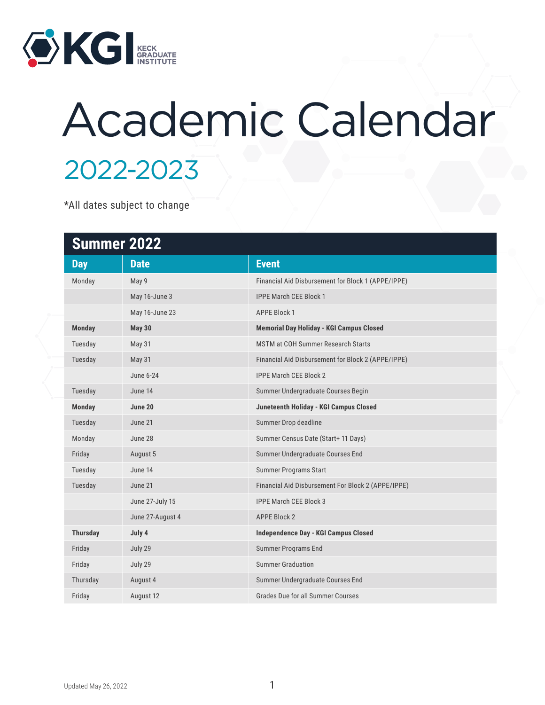

## Academic Calendar 2022-2023

\*All dates subject to change

| <b>Summer 2022</b> |                  |                                                    |  |
|--------------------|------------------|----------------------------------------------------|--|
| <b>Day</b>         | <b>Date</b>      | <b>Event</b>                                       |  |
| Monday             | May 9            | Financial Aid Disbursement for Block 1 (APPE/IPPE) |  |
|                    | May 16-June 3    | <b>IPPE March CEE Block 1</b>                      |  |
|                    | May 16-June 23   | <b>APPE Block 1</b>                                |  |
| <b>Monday</b>      | <b>May 30</b>    | Memorial Day Holiday - KGI Campus Closed           |  |
| Tuesday            | <b>May 31</b>    | <b>MSTM at COH Summer Research Starts</b>          |  |
| Tuesday            | May 31           | Financial Aid Disbursement for Block 2 (APPE/IPPE) |  |
|                    | June 6-24        | <b>IPPE March CEE Block 2</b>                      |  |
| Tuesday            | June 14          | Summer Undergraduate Courses Begin                 |  |
| <b>Monday</b>      | June 20          | Juneteenth Holiday - KGI Campus Closed             |  |
| Tuesday            | June 21          | Summer Drop deadline                               |  |
| Monday             | June 28          | Summer Census Date (Start+ 11 Days)                |  |
| Friday             | August 5         | Summer Undergraduate Courses End                   |  |
| Tuesday            | June 14          | <b>Summer Programs Start</b>                       |  |
| Tuesday            | June 21          | Financial Aid Disbursement For Block 2 (APPE/IPPE) |  |
|                    | June 27-July 15  | <b>IPPE March CEE Block 3</b>                      |  |
|                    | June 27-August 4 | <b>APPE Block 2</b>                                |  |
| <b>Thursday</b>    | July 4           | <b>Independence Day - KGI Campus Closed</b>        |  |
| Friday             | July 29          | <b>Summer Programs End</b>                         |  |
| Friday             | July 29          | <b>Summer Graduation</b>                           |  |
| Thursday           | August 4         | Summer Undergraduate Courses End                   |  |
| Friday             | August 12        | Grades Due for all Summer Courses                  |  |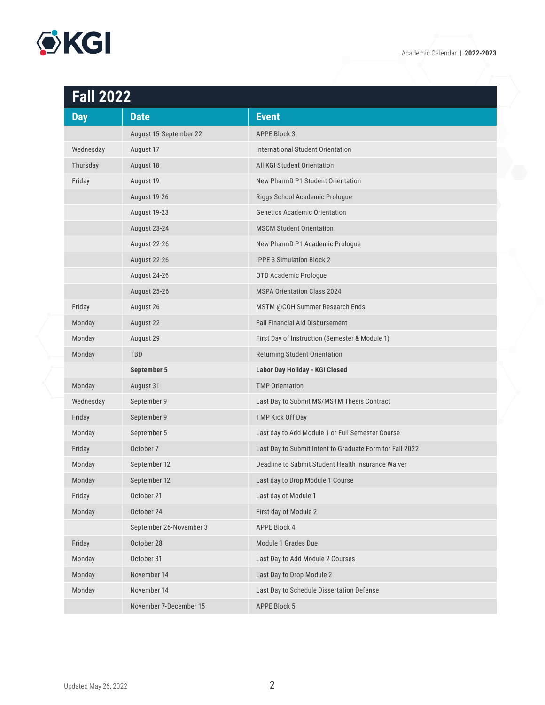

| <b>Fall 2022</b> |                         |                                                          |
|------------------|-------------------------|----------------------------------------------------------|
| <b>Day</b>       | <b>Date</b>             | <b>Event</b>                                             |
|                  | August 15-September 22  | <b>APPE Block 3</b>                                      |
| Wednesday        | August 17               | International Student Orientation                        |
| Thursday         | August 18               | All KGI Student Orientation                              |
| Friday           | August 19               | New PharmD P1 Student Orientation                        |
|                  | August 19-26            | Riggs School Academic Prologue                           |
|                  | August 19-23            | <b>Genetics Academic Orientation</b>                     |
|                  | August 23-24            | <b>MSCM Student Orientation</b>                          |
|                  | August 22-26            | New PharmD P1 Academic Prologue                          |
|                  | August 22-26            | <b>IPPE 3 Simulation Block 2</b>                         |
|                  | August 24-26            | OTD Academic Prologue                                    |
|                  | August 25-26            | <b>MSPA Orientation Class 2024</b>                       |
| Friday           | August 26               | MSTM @COH Summer Research Ends                           |
| Monday           | August 22               | <b>Fall Financial Aid Disbursement</b>                   |
| Monday           | August 29               | First Day of Instruction (Semester & Module 1)           |
| Monday           | TBD                     | Returning Student Orientation                            |
|                  | <b>September 5</b>      | Labor Day Holiday - KGI Closed                           |
| Monday           | August 31               | <b>TMP Orientation</b>                                   |
| Wednesday        | September 9             | Last Day to Submit MS/MSTM Thesis Contract               |
| Friday           | September 9             | TMP Kick Off Day                                         |
| Monday           | September 5             | Last day to Add Module 1 or Full Semester Course         |
| Friday           | October 7               | Last Day to Submit Intent to Graduate Form for Fall 2022 |
| Monday           | September 12            | Deadline to Submit Student Health Insurance Waiver       |
| Monday           | September 12            | Last day to Drop Module 1 Course                         |
| Friday           | October 21              | Last day of Module 1                                     |
| Monday           | October 24              | First day of Module 2                                    |
|                  | September 26-November 3 | APPE Block 4                                             |
| Friday           | October 28              | Module 1 Grades Due                                      |
| Monday           | October 31              | Last Day to Add Module 2 Courses                         |
| Monday           | November 14             | Last Day to Drop Module 2                                |
| Monday           | November 14             | Last Day to Schedule Dissertation Defense                |
|                  | November 7-December 15  | APPE Block 5                                             |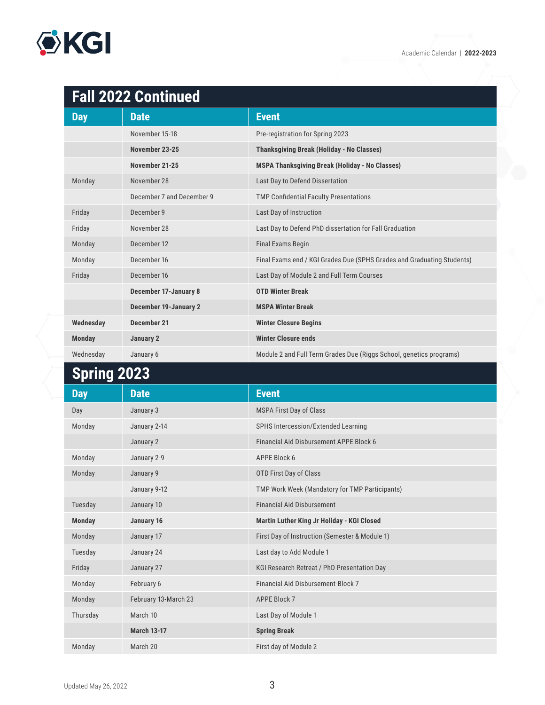## **OKGI**

## **Fall 2022 Continued**

| <b>Day</b>    | <b>Date</b>                  | <b>Event</b>                                                           |
|---------------|------------------------------|------------------------------------------------------------------------|
|               | November 15-18               | Pre-registration for Spring 2023                                       |
|               | November 23-25               | <b>Thanksgiving Break (Holiday - No Classes)</b>                       |
|               | November 21-25               | <b>MSPA Thanksgiving Break (Holiday - No Classes)</b>                  |
| Monday        | November 28                  | Last Day to Defend Dissertation                                        |
|               | December 7 and December 9    | <b>TMP Confidential Faculty Presentations</b>                          |
| Friday        | December 9                   | Last Day of Instruction                                                |
| Friday        | November 28                  | Last Day to Defend PhD dissertation for Fall Graduation                |
| Monday        | December 12                  | <b>Final Exams Begin</b>                                               |
| Monday        | December 16                  | Final Exams end / KGI Grades Due (SPHS Grades and Graduating Students) |
| Friday        | December 16                  | Last Day of Module 2 and Full Term Courses                             |
|               | <b>December 17-January 8</b> | <b>OTD Winter Break</b>                                                |
|               | <b>December 19-January 2</b> | <b>MSPA Winter Break</b>                                               |
| Wednesday     | December 21                  | <b>Winter Closure Begins</b>                                           |
| <b>Monday</b> | January 2                    | <b>Winter Closure ends</b>                                             |
| Wednesday     | January 6                    | Module 2 and Full Term Grades Due (Riggs School, genetics programs)    |

## **Spring 2023**

| <b>Day</b>    | <b>Date</b>          | <b>Event</b>                                   |
|---------------|----------------------|------------------------------------------------|
| Day           | January 3            | <b>MSPA First Day of Class</b>                 |
| Monday        | January 2-14         | SPHS Intercession/Extended Learning            |
|               | January 2            | Financial Aid Disbursement APPE Block 6        |
| Monday        | January 2-9          | APPE Block 6                                   |
| Monday        | January 9            | OTD First Day of Class                         |
|               | January 9-12         | TMP Work Week (Mandatory for TMP Participants) |
| Tuesday       | January 10           | <b>Financial Aid Disbursement</b>              |
| <b>Monday</b> | January 16           | Martin Luther King Jr Holiday - KGI Closed     |
| Monday        | January 17           | First Day of Instruction (Semester & Module 1) |
| Tuesday       | January 24           | Last day to Add Module 1                       |
| Friday        | January 27           | KGI Research Retreat / PhD Presentation Day    |
| Monday        | February 6           | <b>Financial Aid Disbursement-Block 7</b>      |
| Monday        | February 13-March 23 | <b>APPE Block 7</b>                            |
| Thursday      | March 10             | Last Day of Module 1                           |
|               | <b>March 13-17</b>   | <b>Spring Break</b>                            |
| Monday        | March 20             | First day of Module 2                          |